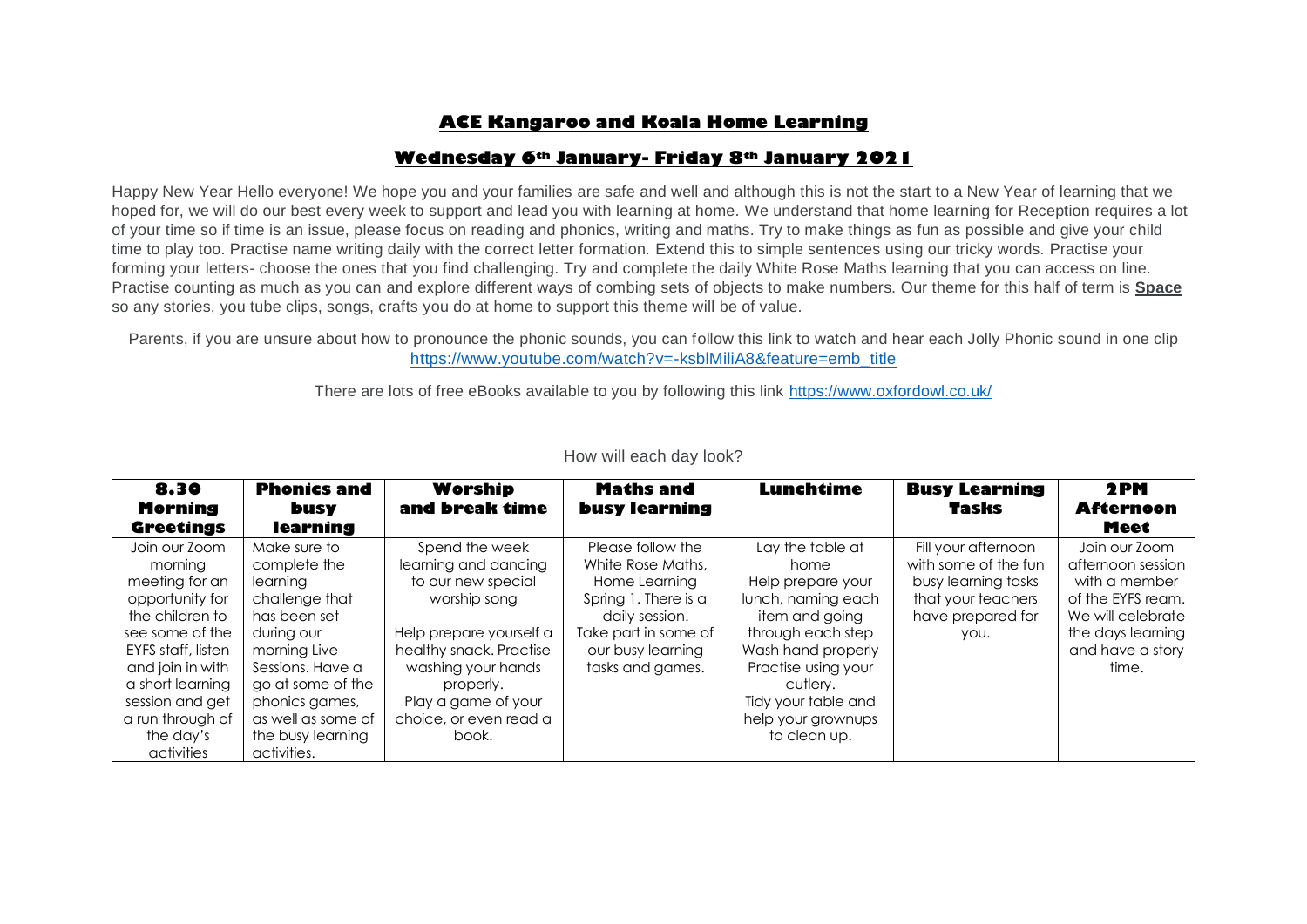# **ACE Kangaroo and Koala Home Learning**

# **Wednesday 6th January- Friday 8th January 2021**

Happy New Year Hello everyone! We hope you and your families are safe and well and although this is not the start to a New Year of learning that we hoped for, we will do our best every week to support and lead you with learning at home. We understand that home learning for Reception requires a lot of your time so if time is an issue, please focus on reading and phonics, writing and maths. Try to make things as fun as possible and give your child time to play too. Practise name writing daily with the correct letter formation. Extend this to simple sentences using our tricky words. Practise your forming your letters- choose the ones that you find challenging. Try and complete the daily White Rose Maths learning that you can access on line. Practise counting as much as you can and explore different ways of combing sets of objects to make numbers. Our theme for this half of term is **Space** so any stories, you tube clips, songs, crafts you do at home to support this theme will be of value.

Parents, if you are unsure about how to pronounce the phonic sounds, you can follow this link to watch and hear each Jolly Phonic sound in one clip [https://www.youtube.com/watch?v=-ksblMiliA8&feature=emb\\_title](https://www.youtube.com/watch?v=-ksblMiliA8&feature=emb_title)

There are lots of free eBooks available to you by following this link<https://www.oxfordowl.co.uk/>

| 8.30                                                                                                                                                                                                                  | <b>Phonics and</b>                                                                                                                                                                                             | Worship                                                                                                                                                                                                                         | <b>Maths and</b>                                                                                                                                                   | <b>Lunchtime</b>                                                                                                                                                                                                                 | <b>Busy Learning</b>                                                                                                  | 2PM                                                                                                                                             |
|-----------------------------------------------------------------------------------------------------------------------------------------------------------------------------------------------------------------------|----------------------------------------------------------------------------------------------------------------------------------------------------------------------------------------------------------------|---------------------------------------------------------------------------------------------------------------------------------------------------------------------------------------------------------------------------------|--------------------------------------------------------------------------------------------------------------------------------------------------------------------|----------------------------------------------------------------------------------------------------------------------------------------------------------------------------------------------------------------------------------|-----------------------------------------------------------------------------------------------------------------------|-------------------------------------------------------------------------------------------------------------------------------------------------|
| <b>Morning</b><br><b>Greetings</b>                                                                                                                                                                                    | <b>busy</b><br>learning                                                                                                                                                                                        | and break time                                                                                                                                                                                                                  | <b>busy learning</b>                                                                                                                                               |                                                                                                                                                                                                                                  | <b>Tasks</b>                                                                                                          | <b>Afternoon</b><br>Meet                                                                                                                        |
| Join our Zoom<br>morning<br>meeting for an<br>opportunity for<br>the children to<br>see some of the<br>EYFS staff, listen<br>and join in with<br>a short learning<br>session and get<br>a run through of<br>the day's | Make sure to<br>complete the<br>learning<br>challenge that<br>has been set<br>during our<br>morning Live<br>Sessions, Have a<br>go at some of the<br>phonics games,<br>as well as some of<br>the busy learning | Spend the week<br>learning and dancing<br>to our new special<br>worship song<br>Help prepare yourself a<br>healthy snack. Practise<br>washing your hands<br>properly.<br>Play a game of your<br>choice, or even read a<br>book. | Please follow the<br>White Rose Maths,<br>Home Learning<br>Spring 1. There is a<br>daily session.<br>Take part in some of<br>our busy learning<br>tasks and games. | Lay the table at<br>home<br>Help prepare your<br>lunch, naming each<br>item and going<br>through each step<br>Wash hand properly<br>Practise using your<br>cutlery.<br>Tidy your table and<br>help your grownups<br>to clean up. | Fill your afternoon<br>with some of the fun<br>busy learning tasks<br>that your teachers<br>have prepared for<br>YOU. | Join our Zoom<br>afternoon session<br>with a member<br>of the EYFS ream.<br>We will celebrate<br>the days learning<br>and have a story<br>time. |
| activities                                                                                                                                                                                                            | activities.                                                                                                                                                                                                    |                                                                                                                                                                                                                                 |                                                                                                                                                                    |                                                                                                                                                                                                                                  |                                                                                                                       |                                                                                                                                                 |

### How will each day look?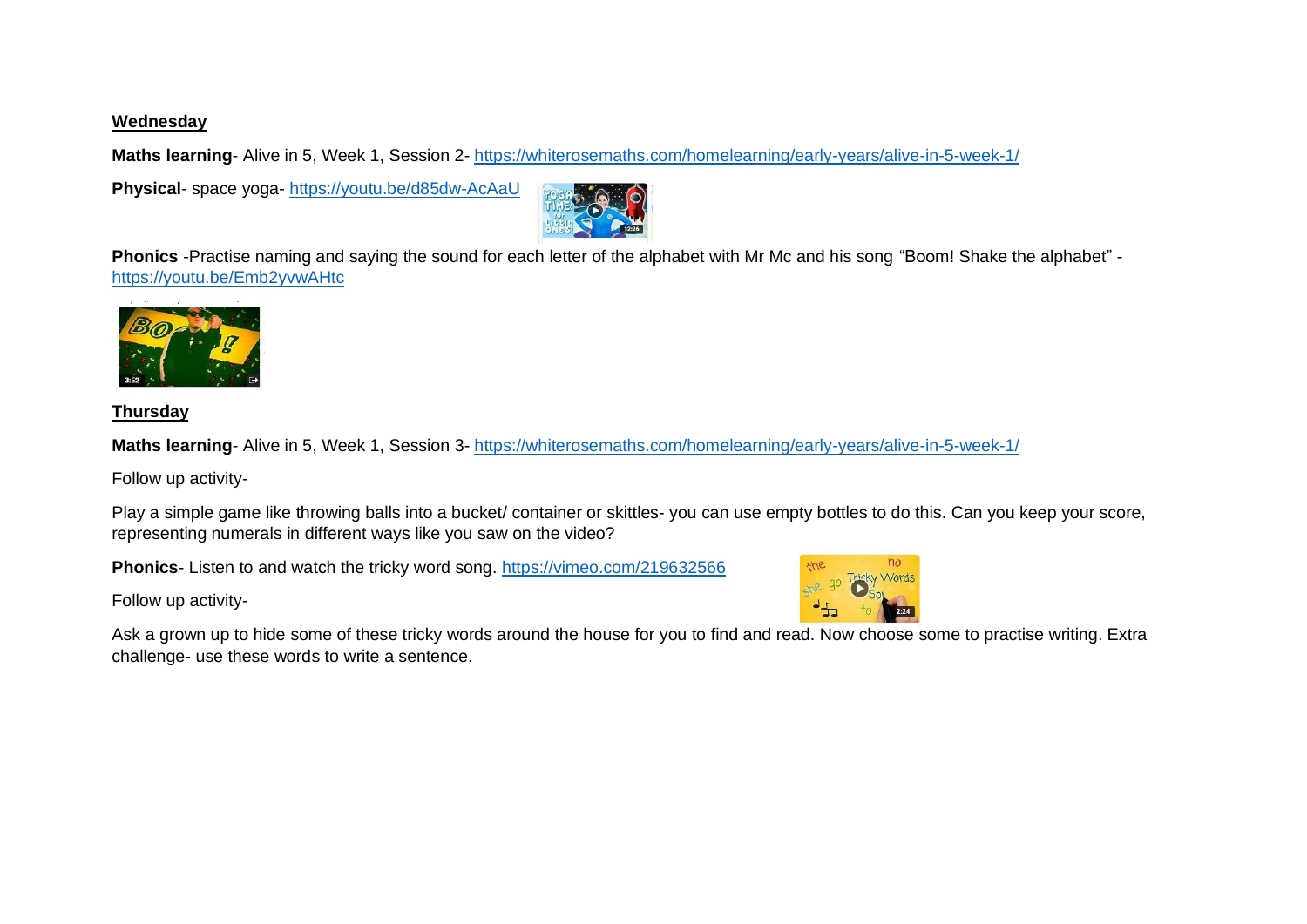### **Wednesday**

**Maths learning**- Alive in 5, Week 1, Session 2- <https://whiterosemaths.com/homelearning/early-years/alive-in-5-week-1/>

**Physical**- space yoga- <https://youtu.be/d85dw-AcAaU>



**Phonics** -Practise naming and saying the sound for each letter of the alphabet with Mr Mc and his song "Boom! Shake the alphabet" <https://youtu.be/Emb2yvwAHtc>



**Thursday**

**Maths learning**- Alive in 5, Week 1, Session 3- <https://whiterosemaths.com/homelearning/early-years/alive-in-5-week-1/>

Follow up activity-

Play a simple game like throwing balls into a bucket/ container or skittles- you can use empty bottles to do this. Can you keep your score, representing numerals in different ways like you saw on the video?

**Phonics**- Listen to and watch the tricky word song.<https://vimeo.com/219632566>

Follow up activity-



Ask a grown up to hide some of these tricky words around the house for you to find and read. Now choose some to practise writing. Extra challenge- use these words to write a sentence.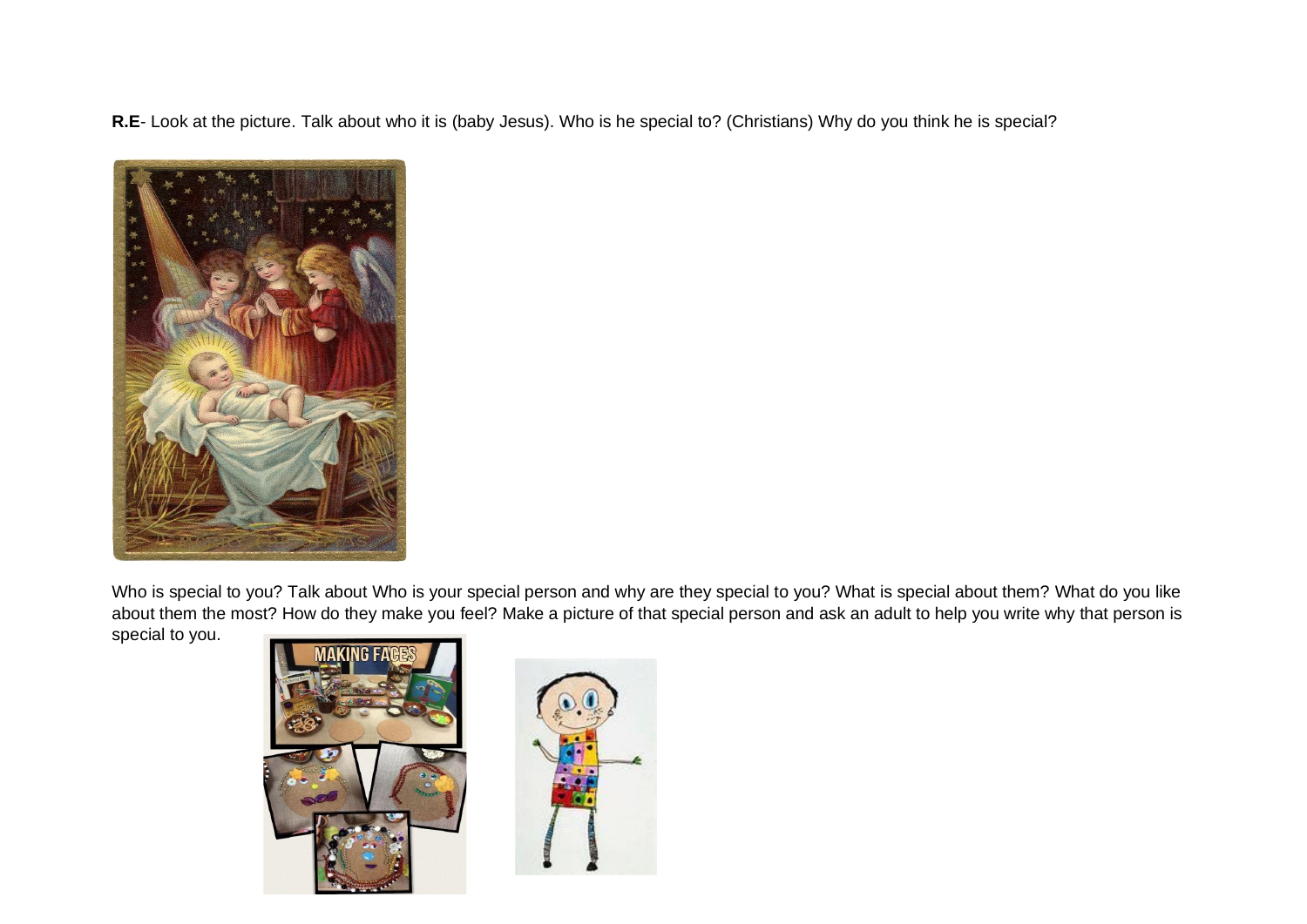**R.E**- Look at the picture. Talk about who it is (baby Jesus). Who is he special to? (Christians) Why do you think he is special?



Who is special to you? Talk about Who is your special person and why are they special to you? What is special about them? What do you like about them the most? How do they make you feel? Make a picture of that special person and ask an adult to help you write why that person is

special to you.